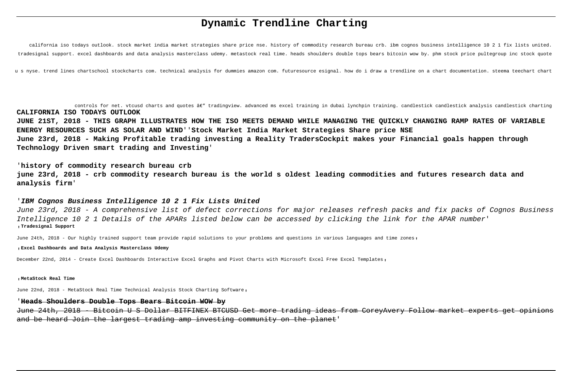# **Dynamic Trendline Charting**

california iso todays outlook. stock market india market strategies share price nse. history of commodity research bureau crb. ibm cognos business intelligence 10 2 1 fix lists united. tradesignal support. excel dashboards and data analysis masterclass udemy. metastock real time. heads shoulders double tops bears bitcoin wow by. phm stock price pultegroup inc stock quote

u s nyse. trend lines chartschool stockcharts com. technical analysis for dummies amazon com. futuresource esignal. how do i draw a trendline on a chart documentation. steema teechart chart

controls for net. vtcusd charts and quotes â€" tradingview. advanced ms excel training in dubai lynchpin training. candlestick candlestick analysis candlestick charting **CALIFORNIA ISO TODAYS OUTLOOK JUNE 21ST, 2018 - THIS GRAPH ILLUSTRATES HOW THE ISO MEETS DEMAND WHILE MANAGING THE QUICKLY CHANGING RAMP RATES OF VARIABLE ENERGY RESOURCES SUCH AS SOLAR AND WIND**''**Stock Market India Market Strategies Share price NSE**

**June 23rd, 2018 - Making Profitable trading investing a Reality TradersCockpit makes your Financial goals happen through Technology Driven smart trading and Investing**'

'**history of commodity research bureau crb june 23rd, 2018 - crb commodity research bureau is the world s oldest leading commodities and futures research data and analysis firm**'

#### '**IBM Cognos Business Intelligence 10 2 1 Fix Lists United**

June 23rd, 2018 - A comprehensive list of defect corrections for major releases refresh packs and fix packs of Cognos Business Intelligence 10 2 1 Details of the APARs listed below can be accessed by clicking the link for the APAR number' '**Tradesignal Support**

June 24th, 2018 - Our highly trained support team provide rapid solutions to your problems and questions in various languages and time zones,

#### '**Excel Dashboards and Data Analysis Masterclass Udemy**

December 22nd, 2014 - Create Excel Dashboards Interactive Excel Graphs and Pivot Charts with Microsoft Excel Free Excel Templates,

#### '**MetaStock Real Time**

June 22nd, 2018 - MetaStock Real Time Technical Analysis Stock Charting Software,

#### '**Heads Shoulders Double Tops Bears Bitcoin WOW by**

June 24th, 2018 - Bitcoin U S Dollar BITFINEX BTCUSD Get more trading ideas from CoreyAvery Follow market experts get opinions and be heard Join the largest trading amp investing community on the planet'